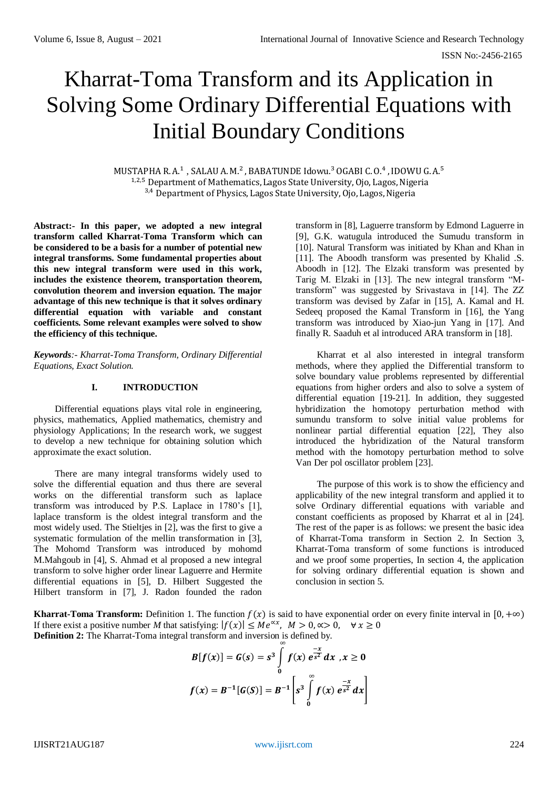# Kharrat-Toma Transform and its Application in Solving Some Ordinary Differential Equations with Initial Boundary Conditions

MUSTAPHA R. A.<sup>1</sup> , SALAU A. M.<sup>2</sup> , BABATUNDE Idowu.<sup>3</sup> OGABI C. O.<sup>4</sup> , IDOWU G. A.<sup>5</sup> <sup>1,2,5</sup> Department of Mathematics, Lagos State University, Ojo, Lagos, Nigeria  $3,4$  Department of Physics, Lagos State University, Ojo, Lagos, Nigeria

**Abstract:- In this paper, we adopted a new integral transform called Kharrat-Toma Transform which can be considered to be a basis for a number of potential new integral transforms. Some fundamental properties about this new integral transform were used in this work, includes the existence theorem, transportation theorem, convolution theorem and inversion equation. The major advantage of this new technique is that it solves ordinary differential equation with variable and constant coefficients. Some relevant examples were solved to show the efficiency of this technique.**

*Keywords:- Kharrat-Toma Transform, Ordinary Differential Equations, Exact Solution.*

## **I. INTRODUCTION**

Differential equations plays vital role in engineering, physics, mathematics, Applied mathematics, chemistry and physiology Applications; In the research work, we suggest to develop a new technique for obtaining solution which approximate the exact solution.

There are many integral transforms widely used to solve the differential equation and thus there are several works on the differential transform such as laplace transform was introduced by P.S. Laplace in 1780's [1], laplace transform is the oldest integral transform and the most widely used. The Stieltjes in [2], was the first to give a systematic formulation of the mellin transformation in [3], The Mohomd Transform was introduced by mohomd M.Mahgoub in [4], S. Ahmad et al proposed a new integral transform to solve higher order linear Laguerre and Hermite differential equations in [5], D. Hilbert Suggested the Hilbert transform in [7], J. Radon founded the radon

transform in [8], Laguerre transform by Edmond Laguerre in [9], G.K. watugula introduced the Sumudu transform in [10]. Natural Transform was initiated by Khan and Khan in [11]. The Aboodh transform was presented by Khalid .S. Aboodh in [12]. The Elzaki transform was presented by Tarig M. Elzaki in [13]. The new integral transform "Mtransform" was suggested by Srivastava in [14]. The ZZ transform was devised by Zafar in [15], A. Kamal and H. Sedeeq proposed the Kamal Transform in [16], the Yang transform was introduced by Xiao-jun Yang in [17]. And finally R. Saaduh et al introduced ARA transform in [18].

Kharrat et al also interested in integral transform methods, where they applied the Differential transform to solve boundary value problems represented by differential equations from higher orders and also to solve a system of differential equation [19-21]. In addition, they suggested hybridization the homotopy perturbation method with sumundu transform to solve initial value problems for nonlinear partial differential equation [22], They also introduced the hybridization of the Natural transform method with the homotopy perturbation method to solve Van Der pol oscillator problem [23].

The purpose of this work is to show the efficiency and applicability of the new integral transform and applied it to solve Ordinary differential equations with variable and constant coefficients as proposed by Kharrat et al in [24]. The rest of the paper is as follows: we present the basic idea of Kharrat-Toma transform in Section 2. In Section 3, Kharrat-Toma transform of some functions is introduced and we proof some properties, In section 4, the application for solving ordinary differential equation is shown and conclusion in section 5.

**Kharrat-Toma Transform:** Definition 1. The function  $f(x)$  is said to have exponential order on every finite interval in [0, +∞) If there exist a positive number M that satisfying:  $|f(x)| \le Me^{\alpha x}$ ,  $M > 0, \alpha > 0$ ,  $\forall x \ge 0$ **Definition 2:** The Kharrat-Toma integral transform and inversion is defined by.

$$
B[f(x)] = G(s) = s^3 \int_0^{\infty} f(x) e^{\frac{-x}{s^2}} dx, x \ge 0
$$
  

$$
f(x) = B^{-1}[G(S)] = B^{-1}\left[s^3 \int_0^{\infty} f(x) e^{\frac{-x}{s^2}} dx\right]
$$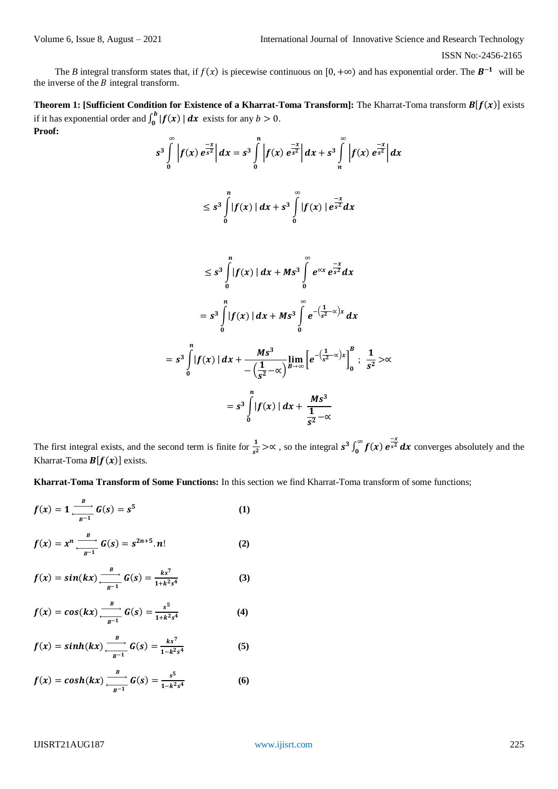The *B* integral transform states that, if  $f(x)$  is piecewise continuous on [0, +∞) and has exponential order. The  $B^{-1}$  will be the inverse of the  $B$  integral transform.

**Theorem 1: [Sufficient Condition for Existence of a Kharrat-Toma Transform]:** The Kharrat-Toma transform  $B[f(x)]$  exists if it has exponential order and  $\int_0^b |f(x)|$  $\int_0^b |f(x)| dx$  exists for any  $b > 0$ . **Proof:**

$$
s^{3} \int_{0}^{\infty} |f(x) e^{\frac{-x}{s^{2}}} | dx = s^{3} \int_{0}^{n} |f(x) e^{\frac{-x}{s^{2}}} | dx + s^{3} \int_{n}^{\infty} |f(x) e^{\frac{-x}{s^{2}}} | dx
$$
  

$$
\leq s^{3} \int_{0}^{n} |f(x) | dx + s^{3} \int_{0}^{\infty} |f(x) | e^{\frac{-x}{s^{2}}} dx
$$
  

$$
\leq s^{3} \int_{0}^{n} |f(x) | dx + Ms^{3} \int_{0}^{\infty} e^{\alpha x} e^{\frac{-x}{s^{2}}} dx
$$

$$
= s^3 \int_{0}^{n} |f(x)| dx + Ms^3 \int_{0}^{\infty} e^{-\left(\frac{1}{s^2} - \alpha\right)x} dx
$$

$$
= s^3 \int_0^n |f(x)| dx + \frac{Ms^3}{-\left(\frac{1}{s^2} - \alpha\right)} \lim_{B \to \infty} \left[ e^{-\left(\frac{1}{s^2} - \alpha\right)x} \right]_0^n; \frac{1}{s^2} > \alpha
$$
  

$$
= s^3 \int_0^n |f(x)| dx + \frac{Ms^3}{\frac{1}{s^2} - \alpha}
$$

The first integral exists, and the second term is finite for  $\frac{1}{s^2} > \alpha$ , so the integral  $s^3 \int_0^\infty f(x) e^{-\frac{1}{s^2}}$  $\int_0^{\infty} f(x) e^{-x^2} dx$  converges absolutely and the Kharrat-Toma  $\mathbf{B}[f(x)]$  exists.

**Kharrat-Toma Transform of Some Functions:** In this section we find Kharrat-Toma transform of some functions;

$$
f(x) = 1 \xrightarrow{\frac{B}{B^{-1}}} G(s) = s^5 \tag{1}
$$

$$
f(x) = x^n \xrightarrow[k=1]{B} G(s) = s^{2n+5} \cdot n! \tag{2}
$$

$$
f(x) = \sin(kx) \frac{B}{\frac{B}{B^{-1}}} G(s) = \frac{ks^7}{1 + k^2 s^4}
$$
 (3)

$$
f(x) = cos(kx) \xrightarrow[\frac{B}{B^{-1}}]{} G(s) = \frac{s^5}{1 + k^2 s^4}
$$
 (4)

$$
f(x) = sinh(kx) \xrightarrow[{}^{B}]{B} G(s) = \frac{ks^{7}}{1 - k^{2}s^{4}}
$$
 (5)

$$
f(x) = \cosh(kx) \xrightarrow[k]{B} G(s) = \frac{s^5}{1 - k^2 s^4}
$$
 (6)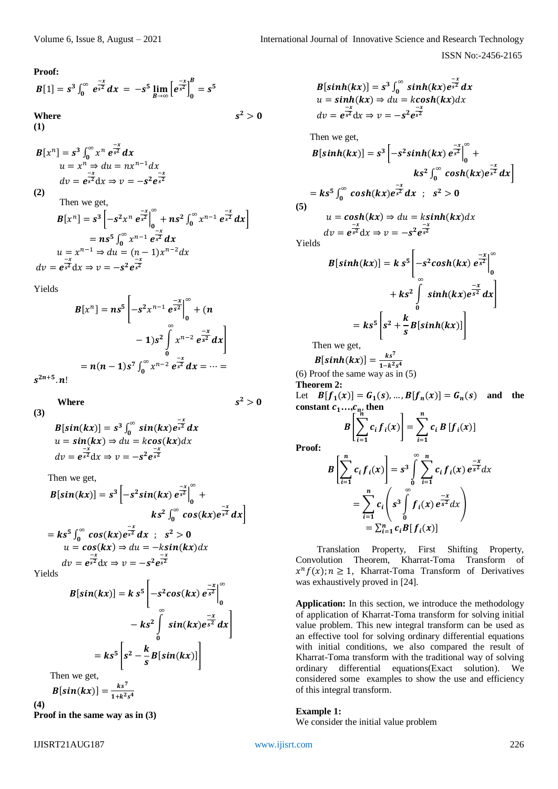**Proof:**

$$
B[1] = s3 \int_0^{\infty} e^{\frac{-x}{s^2}} dx = -s5 \lim_{B \to \infty} \left[ e^{\frac{-x}{s^2}} \right]_0^B = s5
$$
  
Where  
(1)

 $B[x^n] = s^3 \int_0^\infty x^n e^{\frac{-x}{s^2}}$  $\int_0^\infty x^n e^{\frac{-x}{s^2}} dx$  $u = x^n \Rightarrow du = nx^{n-1}dx$  $dv = e^{\frac{-x}{s^2}}$  $\frac{-x}{s^2}dx \Rightarrow v = -s^2 e^{\frac{-x}{s^2}}$  $s^2$ 

**(2)**

Then we get,  
\n
$$
B[x^n] = s^3 \left[ -s^2 x^n e^{\frac{-x}{s^2}} \Big|_0^{\infty} + n s^2 \int_0^{\infty} x^{n-1} e^{\frac{-x}{s^2}} dx \right]
$$
\n
$$
= n s^5 \int_0^{\infty} x^{n-1} e^{\frac{-x}{s^2}} dx
$$
\n
$$
u = x^{n-1} \Rightarrow du = (n-1) x^{n-2} dx
$$
\n
$$
dv = e^{\frac{-x}{s^2}} dx \Rightarrow v = -s^2 e^{\frac{-x}{s^2}}
$$

Yields

$$
B[x^n] = ns^5 \left[ -s^2 x^{n-1} e^{\frac{-x}{s^2}} \Big|_0^{\infty} + (n - 1)s^2 \int_0^{\infty} x^{n-2} e^{\frac{-x}{s^2}} dx \right]
$$
  
=  $n(n - 1)s^7 \int_0^{\infty} x^{n-2} e^{\frac{-x}{s^2}} dx = \dots =$ 

 $s^{2n+5}$ .  $n!$ 

 **Where** 

**(3)** 

(3)  
\n
$$
B[sin(kx)] = s^3 \int_0^{\infty} sin(kx) e^{-x^2} dx
$$
\n
$$
u = sin(kx) \Rightarrow du = kcos(kx) dx
$$
\n
$$
dv = e^{-x^2} dx \Rightarrow v = -s^2 e^{-x^2}
$$

Then we get,

$$
B[\sin(kx)] = s^3 \left[ -s^2 \sin(kx) e^{\frac{-x}{s^2}} \right]_0^{\infty} +
$$
  
\n
$$
k s^2 \int_0^{\infty} \cos(kx) e^{\frac{-x}{s^2}} dx
$$
  
\n
$$
= k s^5 \int_0^{\infty} \cos(kx) e^{\frac{-x}{s^2}} dx ; s^2 > 0
$$
  
\n
$$
u = \cos(kx) \Rightarrow du = -k \sin(kx) dx
$$
  
\n
$$
dv = e^{\frac{-x}{s^2}} dx \Rightarrow v = -s^2 e^{\frac{-x}{s^2}}
$$

 $s^2$ 

Yields

$$
B[\sin(kx)] = k s^5 \left[ -s^2 \cos(kx) e^{\frac{-x}{s^2}} \right]_0^{\infty}
$$
  

$$
- k s^2 \int_0^{\infty} \sin(kx) e^{\frac{-x}{s^2}} dx
$$
  

$$
= k s^5 \left[ s^2 - \frac{k}{s} B[\sin(kx)] \right]
$$
  
we get,

Then  $\mathbf{p}[$   $(t_1, t_2, t_3)$ 

$$
B[sin(kx)] = \frac{1}{1+k^2s^4}
$$

**(4)**

**Proof in the same way as in (3)**

$$
B[\sinh(kx)] = s^3 \int_0^\infty \sinh(kx) e^{\frac{-x}{s^2}} dx
$$
  
\n
$$
u = \sinh(kx) \Rightarrow du = k \cosh(kx) dx
$$
  
\n
$$
dv = e^{\frac{-x}{s^2}} dx \Rightarrow v = -s^2 e^{\frac{-x}{s^2}}
$$

Then we get,

$$
B[\sinh(kx)] = s^3 \left[ -s^2 \sinh(kx) e^{\frac{-x}{s^2}} \right]_0^{\infty} +
$$
  
\n
$$
ks^2 \int_0^{\infty} \cosh(kx) e^{\frac{-x}{s^2}} dx
$$
  
\n
$$
= ks^5 \int_0^{\infty} \cosh(kx) e^{\frac{-x}{s^2}} dx ; s^2 > 0
$$
  
\n(5)  
\n
$$
u = \cosh(kx) \Rightarrow du = k \sinh(kx) dx
$$
  
\n
$$
dv = e^{\frac{-x}{s^2}} dx \Rightarrow v = -s^2 e^{\frac{-x}{s^2}}
$$

 $s^2$ 

Yields

$$
B[\sinh(kx)] = k s^5 \left[ -s^2 \cosh(kx) e^{\frac{-x}{s^2}} \right]_0^{\infty}
$$
  
+  $k s^2 \int_0^{\infty} \sinh(kx) e^{\frac{-x}{s^2}} dx$   
=  $k s^5 \left[ s^2 + \frac{k}{s} B[\sinh(kx)] \right]$   
Then we get,

 $B[\sinh(kx)] = \frac{k s^7}{1 - k^2}$  $\frac{1-k^2s^4}{1-k^2s^4}$ (6) Proof the same way as in (5)

**Theorem 2:**

Let  $B[f_1(x)] = G_1(s), ..., B[f_n(x)] = G_n(s)$  and the **constant**  $c_1...c_n$  then

$$
B\left[\sum_{i=1}^{n_i} c_i f_i(x)\right] = \sum_{i=1}^{n} c_i B\left[f_i(x)\right]
$$

**Proof:**

 $s^2 > 0$ 

$$
B\left[\sum_{i=1}^{n} c_{i} f_{i}(x)\right] = s^{3} \int_{0}^{\infty} \sum_{i=1}^{n} c_{i} f_{i}(x) e^{\frac{-x}{s^{2}}} dx
$$
  

$$
= \sum_{i=1}^{n} c_{i} \left(s^{3} \int_{0}^{\infty} f_{i}(x) e^{\frac{-x}{s^{2}}} dx\right)
$$
  

$$
= \sum_{i=1}^{n} c_{i} B[f_{i}(x)]
$$

Translation Property, First Shifting Property, Convolution Theorem, Kharrat-Toma Transform of  $x^n f(x)$ ;  $n \ge 1$ , Kharrat-Toma Transform of Derivatives was exhaustively proved in [24].

**Application:** In this section, we introduce the methodology of application of Kharrat-Toma transform for solving initial value problem. This new integral transform can be used as an effective tool for solving ordinary differential equations with initial conditions, we also compared the result of Kharrat-Toma transform with the traditional way of solving ordinary differential equations(Exact solution). We considered some examples to show the use and efficiency of this integral transform.

## **Example 1:**

We consider the initial value problem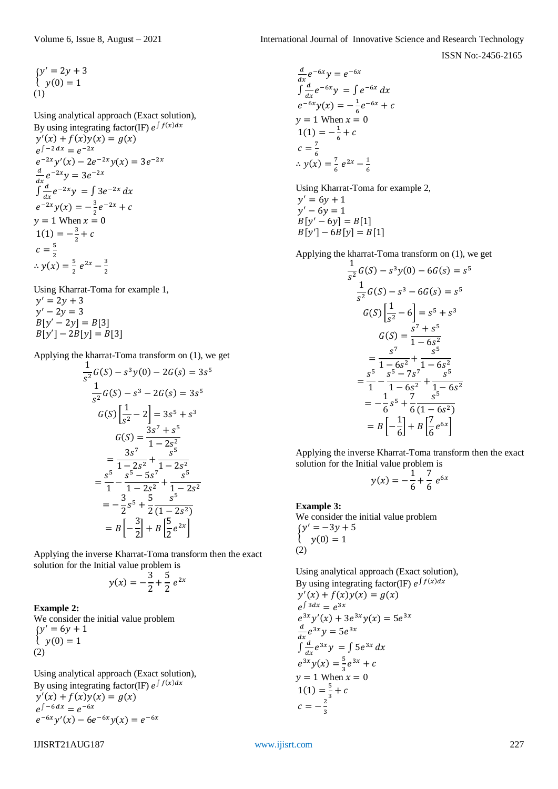ISSN No:-2456-2165

$$
\begin{cases} y' = 2y + 3 \\ y(0) = 1 \end{cases}
$$

Using analytical approach (Exact solution), By using integrating factor(IF)  $e^{\int f(x)dx}$  $y'(x) + f(x)y(x) = g(x)$  $e^{\int -2 dx} = e^{-2x}$  $e^{-2x}y'(x) - 2e^{-2x}y(x) = 3e^{-2x}$  $\boldsymbol{d}$  $\frac{a}{dx}e^{-2x}y = 3e^{-2x}$  $\int \frac{d}{dx}$  $\frac{a}{dx}e^{-2x}y = \int 3e^{-2x} dx$  $e^{-2x}y(x) = -\frac{3}{2}$  $\frac{3}{2}e^{-2x} + c$  $y = 1$  When  $x = 0$  $1(1) = -\frac{3}{2} + c$ 2  $c=\frac{5}{3}$ 2  $\therefore$  y(x) =  $\frac{5}{3}$  $\frac{5}{2}e^{2x}-\frac{3}{2}$ 2

Using Kharrat-Toma for example 1,  $y' = 2y + 3$  $y' - 2y = 3$  $B[y' - 2y] = B[3]$  $B[y'] - 2B[y] = B[3]$ 

Applying the kharrat-Toma transform on (1), we get

$$
\frac{1}{s^2}G(S) - s^3y(0) - 2G(s) = 3s^5
$$
  

$$
\frac{1}{s^2}G(S) - s^3 - 2G(s) = 3s^5
$$
  

$$
G(S) \left[\frac{1}{s^2} - 2\right] = 3s^5 + s^3
$$
  

$$
G(S) = \frac{3s^7 + s^5}{1 - 2s^2}
$$
  

$$
= \frac{3s^7}{1 - 2s^2} + \frac{s^5}{1 - 2s^2}
$$
  

$$
= \frac{s^5}{1} - \frac{s^5 - 5s^7}{1 - 2s^2} + \frac{s^5}{1 - 2s^2}
$$
  

$$
= -\frac{3}{2}s^5 + \frac{5}{2}\frac{s^5}{(1 - 2s^2)}
$$
  

$$
= B \left[-\frac{3}{2}\right] + B \left[\frac{5}{2}e^{2x}\right]
$$

Applying the inverse Kharrat-Toma transform then the exact solution for the Initial value problem is

$$
y(x) = -\frac{3}{2} + \frac{5}{2} e^{2x}
$$

**Example 2:**  We consider the initial value problem  $\begin{cases} y - 6y \\ y(0) = 1 \end{cases}$  $y' = 6y + 1$ (2)

Using analytical approach (Exact solution), By using integrating factor(IF)  $e^{\int f(x)dx}$  $y'(x) + f(x)y(x) = g(x)$  $e^{\int -6 dx} = e^{-6x}$  $e^{-6x}y'(x) - 6e^{-6x}y(x) = e^{-6x}$ 

$$
I JISRT 21 A UG 187\\
$$

$$
\frac{d}{dx}e^{-6x}y = e^{-6x}
$$
  
\n
$$
\int \frac{d}{dx}e^{-6x}y = \int e^{-6x} dx
$$
  
\n
$$
e^{-6x}y(x) = -\frac{1}{6}e^{-6x} + c
$$
  
\n
$$
y = 1 \text{ When } x = 0
$$
  
\n
$$
1(1) = -\frac{1}{6} + c
$$
  
\n
$$
c = \frac{7}{6}
$$
  
\n
$$
\therefore y(x) = \frac{7}{6}e^{2x} - \frac{1}{6}
$$

Using Kharrat-Toma for example 2,  $y' = 6y + 1$  $y' - 6y = 1$  $B[y' - 6y] = B[1]$  $B[y'] - 6B[y] = B[1]$ 

Applying the kharrat-Toma transform on (1), we get

$$
\frac{1}{s^2}G(S) - s^3y(0) - 6G(s) = s^5
$$
  

$$
\frac{1}{s^2}G(S) - s^3 - 6G(s) = s^5
$$
  

$$
G(S) \left[\frac{1}{s^2} - 6\right] = s^5 + s^3
$$
  

$$
G(S) = \frac{s^7 + s^5}{1 - 6s^2}
$$
  

$$
= \frac{s^7}{1 - 6s^2} + \frac{s^5}{1 - 6s^2}
$$
  

$$
= \frac{s^5}{1 - 6s^2} + \frac{s^5}{1 - 6s^2}
$$
  

$$
= \frac{1}{1 - 6s^2} + \frac{7}{1 - 6s^2}
$$
  

$$
= -\frac{1}{6}s^5 + \frac{7}{6}(1 - 6s^2)
$$
  

$$
= B \left[-\frac{1}{6}\right] + B \left[\frac{7}{6}e^{6x}\right]
$$

Applying the inverse Kharrat-Toma transform then the exact solution for the Initial value problem is

$$
y(x) = -\frac{1}{6} + \frac{7}{6} e^{6x}
$$

# **Example 3:**

We consider the initial value problem  $\mathfrak{f}$  $y' = -3y + 5$  $y(0) = 1$ (2)

Using analytical approach (Exact solution), By using integrating factor(IF)  $e^{\int f(x)dx}$  $y'(x) + f(x)y(x) = g(x)$ 

$$
e^{\int 3dx} = e^{3x}
$$
  
\n
$$
e^{3x}y'(x) + 3e^{3x}y(x) = 5e^{3x}
$$
  
\n
$$
\frac{d}{dx}e^{3x}y = 5e^{3x}
$$
  
\n
$$
\int \frac{d}{dx}e^{3x}y = \int 5e^{3x} dx
$$
  
\n
$$
e^{3x}y(x) = \frac{5}{3}e^{3x} + c
$$
  
\n
$$
y = 1 \text{ When } x = 0
$$
  
\n
$$
1(1) = \frac{5}{3} + c
$$
  
\n
$$
c = -\frac{2}{3}
$$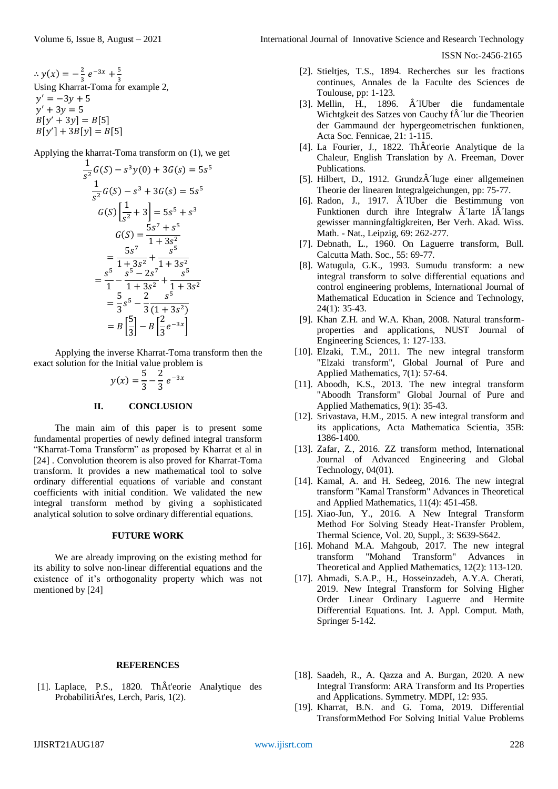Applying the kharrat-Toma transform on (1), we get

$$
\frac{1}{s^2}G(S) - s^3y(0) + 3G(s) = 5s^5
$$
  

$$
\frac{1}{s^2}G(S) - s^3 + 3G(s) = 5s^5
$$
  

$$
G(S) \left[\frac{1}{s^2} + 3\right] = 5s^5 + s^3
$$
  

$$
G(S) = \frac{5s^7 + s^5}{1 + 3s^2}
$$
  

$$
= \frac{5s^7}{1 + 3s^2} + \frac{s^5}{1 + 3s^2}
$$
  

$$
= \frac{s^5}{1} - \frac{s^5 - 2s^7}{1 + 3s^2} + \frac{s^5}{1 + 3s^2}
$$
  

$$
= \frac{5}{3}s^5 - \frac{2}{3}\frac{s^5}{(1 + 3s^2)}
$$
  

$$
= B\left[\frac{5}{3}\right] - B\left[\frac{2}{3}e^{-3x}\right]
$$

Applying the inverse Kharrat-Toma transform then the exact solution for the Initial value problem is

$$
y(x) = \frac{5}{3} - \frac{2}{3} e^{-3x}
$$

### **II. CONCLUSION**

The main aim of this paper is to present some fundamental properties of newly defined integral transform "Kharrat-Toma Transform" as proposed by Kharrat et al in [24] . Convolution theorem is also proved for Kharrat-Toma transform. It provides a new mathematical tool to solve ordinary differential equations of variable and constant coefficients with initial condition. We validated the new integral transform method by giving a sophisticated analytical solution to solve ordinary differential equations.

#### **FUTURE WORK**

We are already improving on the existing method for its ability to solve non-linear differential equations and the existence of it's orthogonality property which was not mentioned by [24]

#### **REFERENCES**

[1]. Laplace, P.S., 1820. ThÂt'eorie Analytique des ProbabilitiÂt'es, Lerch, Paris, 1(2).

ISSN No:-2456-2165

- [2]. Stieltjes, T.S., 1894. Recherches sur les fractions continues, Annales de la Faculte des Sciences de Toulouse, pp: 1-123.
- [3]. Mellin, H., 1896.  $\hat{A}$  1 Uber die fundamentale Wichtgkeit des Satzes von Cauchy f $\hat{A}$  Tur die Theorien der Gammaund der hypergeometrischen funktionen, Acta Soc. Fennicae, 21: 1-115.
- [4]. La Fourier, J., 1822. ThÂt'eorie Analytique de la Chaleur, English Translation by A. Freeman, Dover Publications.
- [5]. Hilbert, D., 1912. GrundzÂ1uge einer allgemeinen Theorie der linearen Integralgeichungen, pp: 75-77.
- [6]. Radon, J., 1917. Â IUber die Bestimmung von Funktionen durch ihre Integralw  $\hat{A}$ larte l $\hat{A}$ langs gewisser manningfaltigkreiten, Ber Verh. Akad. Wiss. Math. - Nat., Leipzig, 69: 262-277.
- [7]. Debnath, L., 1960. On Laguerre transform, Bull. Calcutta Math. Soc., 55: 69-77.
- [8]. Watugula, G.K., 1993. Sumudu transform: a new integral transform to solve differential equations and control engineering problems, International Journal of Mathematical Education in Science and Technology, 24(1): 35-43.
- [9]. Khan Z.H. and W.A. Khan, 2008. Natural transformproperties and applications, NUST Journal of Engineering Sciences, 1: 127-133.
- [10]. Elzaki, T.M., 2011. The new integral transform "Elzaki transform", Global Journal of Pure and Applied Mathematics, 7(1): 57-64.
- [11]. Aboodh, K.S., 2013. The new integral transform "Aboodh Transform" Global Journal of Pure and Applied Mathematics, 9(1): 35-43.
- [12]. Srivastava, H.M., 2015. A new integral transform and its applications, Acta Mathematica Scientia, 35B: 1386-1400.
- [13]. Zafar, Z., 2016. ZZ transform method, International Journal of Advanced Engineering and Global Technology, 04(01).
- [14]. Kamal, A. and H. Sedeeg, 2016. The new integral transform "Kamal Transform" Advances in Theoretical and Applied Mathematics, 11(4): 451-458.
- [15]. Xiao-Jun, Y., 2016. A New Integral Transform Method For Solving Steady Heat-Transfer Problem, Thermal Science, Vol. 20, Suppl., 3: S639-S642.
- [16]. Mohand M.A. Mahgoub, 2017. The new integral transform "Mohand Transform" Advances in Theoretical and Applied Mathematics, 12(2): 113-120.
- [17]. Ahmadi, S.A.P., H., Hosseinzadeh, A.Y.A. Cherati, 2019. New Integral Transform for Solving Higher Order Linear Ordinary Laguerre and Hermite Differential Equations. Int. J. Appl. Comput. Math, Springer 5-142.
- [18]. Saadeh, R., A. Qazza and A. Burgan, 2020. A new Integral Transform: ARA Transform and Its Properties and Applications. Symmetry. MDPI, 12: 935.
- [19]. Kharrat, B.N. and G. Toma, 2019. Differential TransformMethod For Solving Initial Value Problems